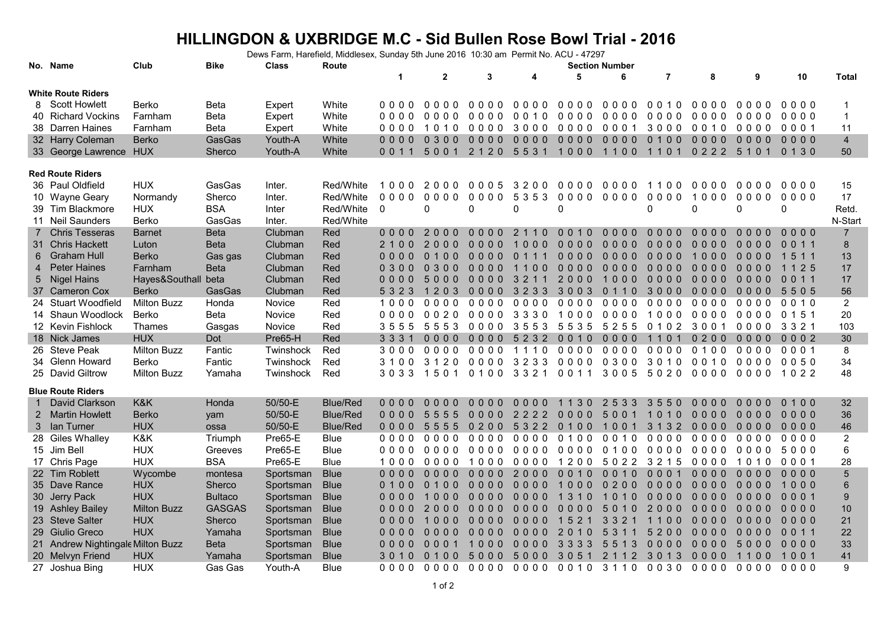## **HILLINGDON & UXBRIDGE M.C - Sid Bullen Rose Bowl Trial - 2016**

Dews Farm, Harefield, Middlesex, Sunday 5th June 2016 10:30 am Permit No. ACU - 47297

|                           | No. Name                          | Club                | <b>Bike</b>    | <b>Class</b> | Route           |             |                                              | <b>Section Number</b> |                       |                                    |                            |                |          |                |                 |                |
|---------------------------|-----------------------------------|---------------------|----------------|--------------|-----------------|-------------|----------------------------------------------|-----------------------|-----------------------|------------------------------------|----------------------------|----------------|----------|----------------|-----------------|----------------|
|                           |                                   |                     |                |              |                 | $\mathbf 1$ | $\mathbf{2}$                                 | 3                     | 4                     | 5                                  | 6                          | $\overline{7}$ | 8        | 9              | 10              | <b>Total</b>   |
| <b>White Route Riders</b> |                                   |                     |                |              |                 |             |                                              |                       |                       |                                    |                            |                |          |                |                 |                |
|                           | 8 Scott Howlett                   | Berko               | Beta           | Expert       | White           | 0000        | 0000                                         | 0000                  | 0000                  | 0000                               | 0000                       | 0010           | 0000     | 0000           | 0000            | -1             |
|                           | 40 Richard Vockins                | Farnham             | Beta           | Expert       | White           | 0000        | 0000                                         | 0000                  | 0010                  | 0000                               | 0000                       | 0000           | 0000     | 0000           | 0000            | $\overline{1}$ |
|                           | 38 Darren Haines                  | Farnham             | Beta           | Expert       | White           | 0000        | 10<br>10                                     | 0000                  | 3000                  | 0000                               | 0001                       | 3000           | 0010     | 0000           | 0001            | 11             |
|                           | 32 Harry Coleman                  | <b>Berko</b>        | GasGas         | Youth-A      | White           | $0000$      | 0300                                         | $0000$                | $0000$                | $0000$                             | $0000$                     | 0 1 0 0        | $0000$   | $0000$         | $0000$          | $\overline{4}$ |
|                           | 33 George Lawrence HUX            |                     | Sherco         | Youth-A      | White           | 0 0 1 1     | 5001                                         |                       |                       | 2120 5531 1000 1100 1101 0222 5101 |                            |                |          |                | 0 1 3 0         | 50             |
|                           |                                   |                     |                |              |                 |             |                                              |                       |                       |                                    |                            |                |          |                |                 |                |
|                           | <b>Red Route Riders</b>           |                     |                |              |                 |             |                                              |                       |                       |                                    |                            |                |          |                |                 |                |
|                           | 36 Paul Oldfield                  | <b>HUX</b>          | GasGas         | Inter.       | Red/White       | 1000        | 2000                                         | 0005                  | 3200                  | 0000                               | 0000                       | 1100           | 0000     | 0000           | 0000            | 15             |
|                           | 10 Wayne Geary                    | Normandy            | Sherco         | Inter.       | Red/White       | 0000        | 0000                                         | 0000                  | 5 3 5 3               | 0000 0000                          |                            | 0000           | 1000     | 0000           | 0000            | 17             |
|                           | 39 Tim Blackmore                  | <b>HUX</b>          | <b>BSA</b>     | Inter        | Red/White       | $\Omega$    | 0                                            | 0                     | $\Omega$              | $\Omega$                           |                            | $\Omega$       | $\Omega$ | $\Omega$       | $\mathbf 0$     | Retd.          |
|                           | 11 Neil Saunders                  | Berko               | GasGas         | Inter.       | Red/White       |             |                                              |                       |                       |                                    |                            |                |          |                |                 | N-Start        |
| 7                         | <b>Chris Tesseras</b>             | <b>Barnet</b>       | <b>Beta</b>    | Clubman      | Red             | $0000$      | 2000                                         | 0000                  | 2 1 1 0               | 0010                               | 0000                       | 0000           | $0000$   | 0000           | $0000$          | $\overline{7}$ |
|                           | 31 Chris Hackett                  | Luton               | <b>Beta</b>    | Clubman      | Red             | 2 1 0 0     | 20<br>0 <sub>0</sub>                         | $0000$                | 000<br>$\overline{1}$ | $0000$                             | $0000$                     | 0000           | 0000     | 0000           | 0 0 1 1         | 8              |
| 6                         | <b>Graham Hull</b>                | <b>Berko</b>        | Gas gas        | Clubman      | Red             | 0000        | 0100                                         | $0000$                | 0 <sub>1</sub><br>11  | $0000$                             | $0000$                     | $0000$         | 1000     | $0000$         | 1 5 1 1         | 13             |
| 4                         | <b>Peter Haines</b>               | Farnham             | <b>Beta</b>    | Clubman      | Red             | 0300        | 0 3 0 0                                      | 0000                  | 0 <sub>0</sub><br>11  | $0000$                             | 0000                       | $0000$         | 0000     | 0000           | 1 1 2 5         | 17             |
| 5                         | <b>Nigel Hains</b>                | Hayes&Southall beta |                | Clubman      | Red             | 0000        | 5000                                         | $0000$                | 3 2 1 1               | 2000                               | 1000                       | 0000           | $0000$   | $0000$         | 011<br>$\Omega$ | 17             |
|                           | 37 Cameron Cox                    | <b>Berko</b>        | GasGas         | Clubman      | Red             | 5 3 2 3     | 1203                                         | 0000                  | 3 2 3 3               | 3003                               | 0 1 1 0                    | 3000           | $0000$   | 0000           | 5505            | 56             |
|                           | 24 Stuart Woodfield               | <b>Milton Buzz</b>  | Honda          | Novice       | Red             | 1000        | 0000                                         | 0000                  | 0000                  | 0000                               | 0000                       | 0000           | 0000     | 0000           | 0010            | $\overline{2}$ |
|                           | 14 Shaun Woodlock                 | Berko               | Beta           | Novice       | Red             | 0000        | 0020                                         | 0000                  | 3330                  | 1000                               | 0000                       | 1000           | 0000     | 0000           | 0 1 5 1         | 20             |
|                           | 12 Kevin Fishlock                 | Thames              | Gasgas         | Novice       | Red             | 3555        | 5553                                         | 0000                  | 3553                  | 5535                               | 5 2 5 5                    | 0102           | 3001     | 0000           | 3 3 2 1         | 103            |
|                           | 18 Nick James                     | <b>HUX</b>          | Dot            | Pre65-H      | Red             | 3 3 3 1     | $0000$                                       | $0000$                | 5232                  | 0010                               | 0000                       | 1101           | 0200     | $0000$         | 0002            | 30             |
|                           | 26 Steve Peak                     | <b>Milton Buzz</b>  | Fantic         | Twinshock    | Red             | 3000        | 0000                                         | 0000                  | 1110                  | 0000                               | 0000                       | 0000           | 0100     | 0000           | 0001            | 8              |
|                           | 34 Glenn Howard                   | Berko               | Fantic         | Twinshock    | Red             | 3100        | 3120                                         | 0000                  | 3233                  | 0000                               | 0300                       | 3010           | 0010     | 0000           | 0050            | 34             |
|                           | 25 David Giltrow                  | <b>Milton Buzz</b>  | Yamaha         | Twinshock    | Red             | 3033        | 1501                                         |                       |                       | 0100 3321 0011 3005 5020           |                            |                |          | 0000 0000 1022 |                 | 48             |
|                           | <b>Blue Route Riders</b>          |                     |                |              |                 |             |                                              |                       |                       |                                    |                            |                |          |                |                 |                |
|                           | David Clarkson                    | K&K                 | Honda          | 50/50-E      | <b>Blue/Red</b> | 0000        | 0000                                         | 0000                  | 0000                  | 1 1 3 0                            | 2 5 3 3                    | 3550           | 0000     | 0000           | 0 1 0 0         | 32             |
| $\mathbf{2}^{\circ}$      | <b>Martin Howlett</b>             | <b>Berko</b>        | yam            | 50/50-E      | <b>Blue/Red</b> | 0000        | 5555                                         | $0000$                | 2222                  | $0000$                             | 5001                       | 1010           | $0000$   | $0000$         | $0000$          | 36             |
| 3                         | lan Turner                        | <b>HUX</b>          | ossa           | 50/50-E      | <b>Blue/Red</b> | 0000        | 5555                                         | 0200                  | 5 3 2 2               | 0100                               | 1001                       | 3 1 3 2        | 0000     | 0000           | 0000            | 46             |
|                           | 28 Giles Whalley                  | K&K                 | Triumph        | Pre65-E      | Blue            | 0000        | 0000                                         | 0000                  | 0000                  | 0100                               | 0010                       | 0000           | 0000     | 0000           | 0000            | $\overline{2}$ |
|                           | 15 Jim Bell                       | <b>HUX</b>          | Greeves        | Pre65-E      | Blue            | 0000        | 0000 0000                                    |                       |                       | 0000 0000                          | 0100 0000                  |                | 0000     | 0000           | 5000            | 6              |
|                           | 17 Chris Page                     | <b>HUX</b>          | <b>BSA</b>     | Pre65-E      | <b>Blue</b>     | 1000        | 0000                                         | 1000                  | 0000                  | 1200                               | 5022 3215                  |                | 0000     | 1010           | 0001            | 28             |
|                           | 22 Tim Roblett                    | Wycombe             | montesa        | Sportsman    | <b>Blue</b>     | 0000        | $0000$                                       | $0000$                | 2000                  | 0010                               | 0010                       | 0001           | 0000     | 0000           | $0000$          | $\sqrt{5}$     |
|                           | 35 Dave Rance                     | <b>HUX</b>          | Sherco         | Sportsman    | <b>Blue</b>     | 0100        | 0100                                         | $0000$                | $0000$                | 1000                               | 0200                       | 0000           | $0000$   | $0000$         | 1000            | 6              |
|                           | 30 Jerry Pack                     | <b>HUX</b>          | <b>Bultaco</b> | Sportsman    | <b>Blue</b>     | 0000        | 1000                                         | $0000$                | $0000$                | 1 3 1 0                            | 1010                       | $0000$         | 0000     | 0000           | 0001            | 9              |
|                           | 19 Ashley Bailey                  | <b>Milton Buzz</b>  | <b>GASGAS</b>  | Sportsman    | <b>Blue</b>     | 0000        | 2000                                         | $0000$                | $0000$                | 0 <sub>0</sub><br>0 <sub>0</sub>   | 50<br>0                    | 2000           | 0000     | 0000           | $0000$          | 10             |
|                           | 23 Steve Salter                   | <b>HUX</b>          | Sherco         | Sportsman    | <b>Blue</b>     | $0000$      | 0 <sub>0</sub><br>$\overline{1}$<br>$\Omega$ | $0000$                | $0000$                | $1\,5$<br>2 <sub>1</sub>           | 3 3 2 1                    | 1100           | $0000$   | $0000$         | 0000            | 21             |
|                           | 29 Giulio Greco                   | <b>HUX</b>          | Yamaha         | Sportsman    | Blue            | 0000        | $0000$                                       | $0000$                | $0000$                | 2010                               | 5 3 1                      | 5200           | $0000$   | $0000$         | 0 0 1 1         | 22             |
|                           | 21 Andrew Nightingale Milton Buzz |                     | <b>Beta</b>    | Sportsman    | <b>Blue</b>     | 0000        | 0001                                         | 1000                  | 0000                  | 3 3 3 3                            | 5 <sub>5</sub><br>-3<br>-1 | 0000           | 0000     | 5000           | $0000$          | 33             |
|                           | 20 Melvyn Friend                  | <b>HUX</b>          | Yamaha         | Sportsman    | <b>Blue</b>     | 3 0 1 0     | 0 <sub>1</sub><br>0 <sub>0</sub>             | 5000                  | 5000                  | 30<br>5 1                          | $\overline{2}$<br>2 1 1    | 3 0 1 3        | 0000     | 1100           | 1001            | 41             |
|                           | 27 Joshua Bing                    | <b>HUX</b>          | Gas Gas        | Youth-A      | Blue            | 0000        |                                              |                       |                       | 0000 0000 0000 0010 3110 0030      |                            |                | 0000     | 0000           | 0000            | 9              |